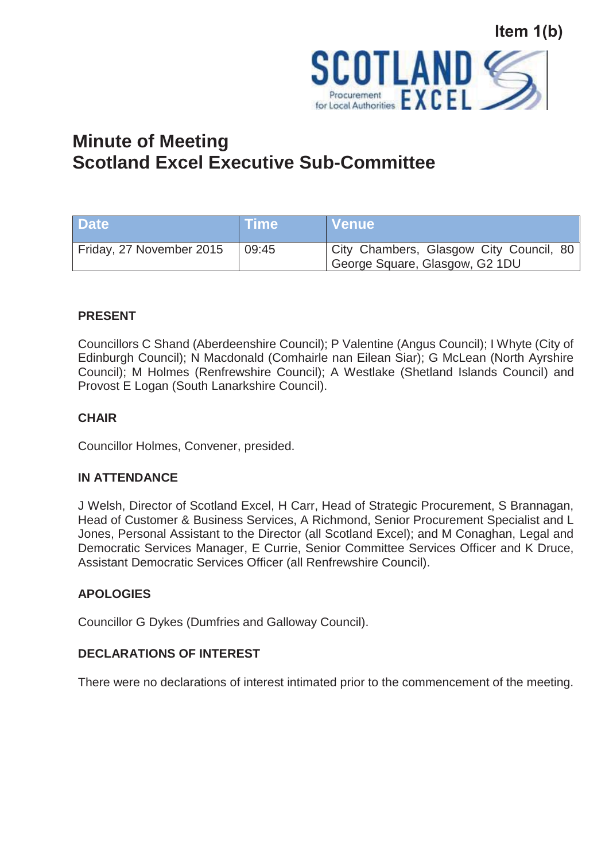

# **Minute of Meeting Scotland Excel Executive Sub-Committee**

| <b>Date</b>              | ⊾Time\ | Nenue!                                                                    |
|--------------------------|--------|---------------------------------------------------------------------------|
| Friday, 27 November 2015 | 09:45  | City Chambers, Glasgow City Council, 80<br>George Square, Glasgow, G2 1DU |

## **PRESENT**

Councillors C Shand (Aberdeenshire Council); P Valentine (Angus Council); I Whyte (City of Edinburgh Council); N Macdonald (Comhairle nan Eilean Siar); G McLean (North Ayrshire Council); M Holmes (Renfrewshire Council); A Westlake (Shetland Islands Council) and Provost E Logan (South Lanarkshire Council).

## **CHAIR**

Councillor Holmes, Convener, presided.

#### **IN ATTENDANCE**

J Welsh, Director of Scotland Excel, H Carr, Head of Strategic Procurement, S Brannagan, Head of Customer & Business Services, A Richmond, Senior Procurement Specialist and L Jones, Personal Assistant to the Director (all Scotland Excel); and M Conaghan, Legal and Democratic Services Manager, E Currie, Senior Committee Services Officer and K Druce, Assistant Democratic Services Officer (all Renfrewshire Council).

#### **APOLOGIES**

Councillor G Dykes (Dumfries and Galloway Council).

#### **DECLARATIONS OF INTEREST**

There were no declarations of interest intimated prior to the commencement of the meeting.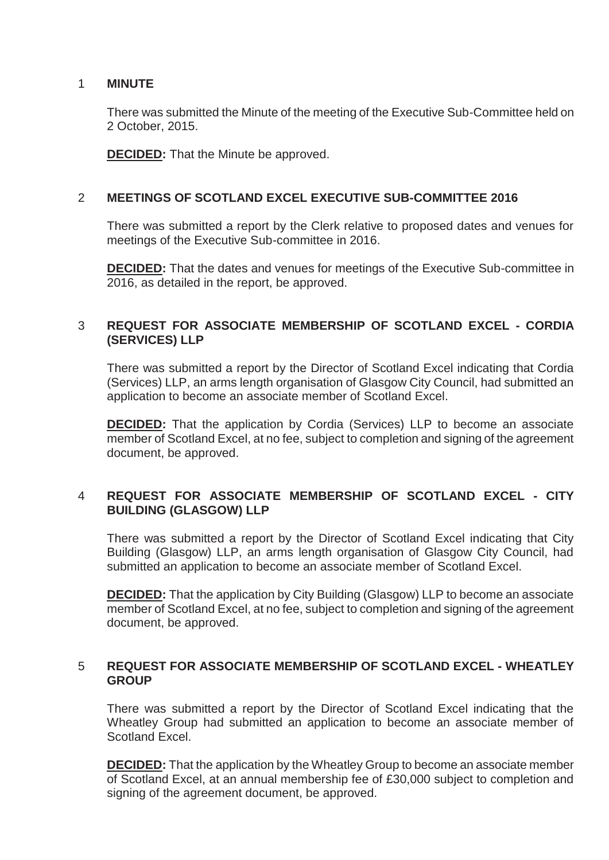#### 1 **MINUTE**

There was submitted the Minute of the meeting of the Executive Sub-Committee held on 2 October, 2015.

**DECIDED:** That the Minute be approved.

## 2 **MEETINGS OF SCOTLAND EXCEL EXECUTIVE SUB-COMMITTEE 2016**

There was submitted a report by the Clerk relative to proposed dates and venues for meetings of the Executive Sub-committee in 2016.

**DECIDED:** That the dates and venues for meetings of the Executive Sub-committee in 2016, as detailed in the report, be approved.

#### 3 **REQUEST FOR ASSOCIATE MEMBERSHIP OF SCOTLAND EXCEL - CORDIA (SERVICES) LLP**

There was submitted a report by the Director of Scotland Excel indicating that Cordia (Services) LLP, an arms length organisation of Glasgow City Council, had submitted an application to become an associate member of Scotland Excel.

**DECIDED:** That the application by Cordia (Services) LLP to become an associate member of Scotland Excel, at no fee, subject to completion and signing of the agreement document, be approved.

## 4 **REQUEST FOR ASSOCIATE MEMBERSHIP OF SCOTLAND EXCEL - CITY BUILDING (GLASGOW) LLP**

There was submitted a report by the Director of Scotland Excel indicating that City Building (Glasgow) LLP, an arms length organisation of Glasgow City Council, had submitted an application to become an associate member of Scotland Excel.

**DECIDED:** That the application by City Building (Glasgow) LLP to become an associate member of Scotland Excel, at no fee, subject to completion and signing of the agreement document, be approved.

## 5 **REQUEST FOR ASSOCIATE MEMBERSHIP OF SCOTLAND EXCEL - WHEATLEY GROUP**

There was submitted a report by the Director of Scotland Excel indicating that the Wheatley Group had submitted an application to become an associate member of Scotland Excel.

**DECIDED:** That the application by the Wheatley Group to become an associate member of Scotland Excel, at an annual membership fee of £30,000 subject to completion and signing of the agreement document, be approved.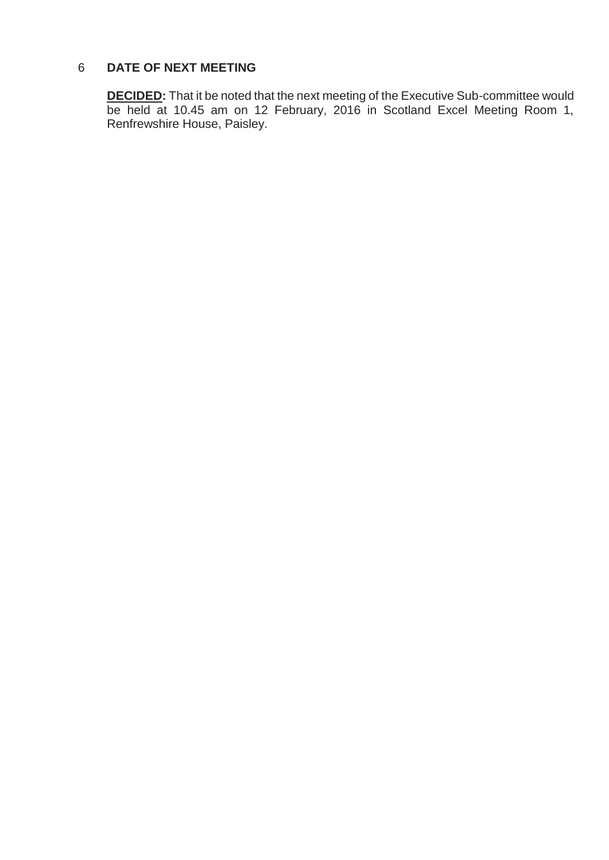## 6 **DATE OF NEXT MEETING**

**DECIDED:** That it be noted that the next meeting of the Executive Sub-committee would be held at 10.45 am on 12 February, 2016 in Scotland Excel Meeting Room 1, Renfrewshire House, Paisley.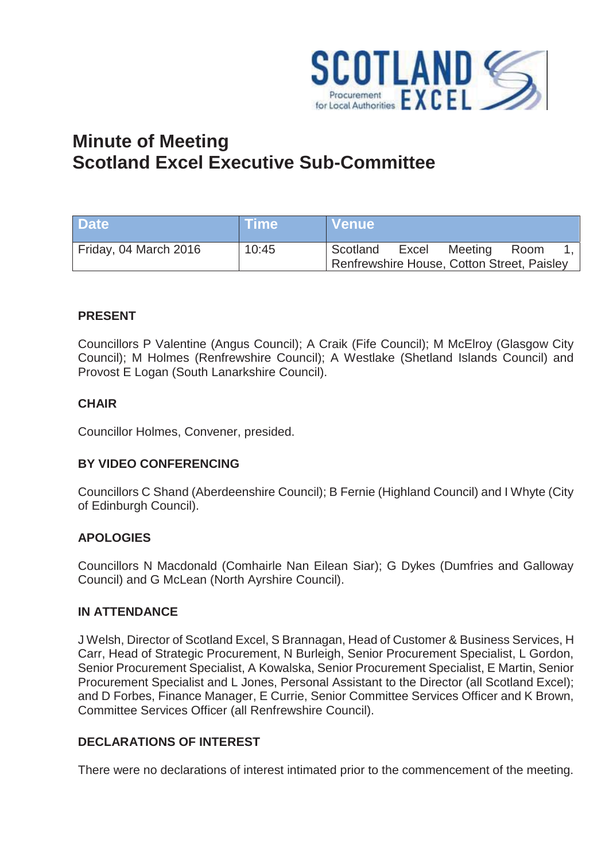

# **Minute of Meeting Scotland Excel Executive Sub-Committee**

| <b>Date</b>           | \Time\ | NVenue\                                    |       |         |      |  |
|-----------------------|--------|--------------------------------------------|-------|---------|------|--|
| Friday, 04 March 2016 | 10:45  | Scotland                                   | Excel | Meeting | Room |  |
|                       |        | Renfrewshire House, Cotton Street, Paisley |       |         |      |  |

## **PRESENT**

Councillors P Valentine (Angus Council); A Craik (Fife Council); M McElroy (Glasgow City Council); M Holmes (Renfrewshire Council); A Westlake (Shetland Islands Council) and Provost E Logan (South Lanarkshire Council).

#### **CHAIR**

Councillor Holmes, Convener, presided.

#### **BY VIDEO CONFERENCING**

Councillors C Shand (Aberdeenshire Council); B Fernie (Highland Council) and I Whyte (City of Edinburgh Council).

#### **APOLOGIES**

Councillors N Macdonald (Comhairle Nan Eilean Siar); G Dykes (Dumfries and Galloway Council) and G McLean (North Ayrshire Council).

#### **IN ATTENDANCE**

J Welsh, Director of Scotland Excel, S Brannagan, Head of Customer & Business Services, H Carr, Head of Strategic Procurement, N Burleigh, Senior Procurement Specialist, L Gordon, Senior Procurement Specialist, A Kowalska, Senior Procurement Specialist, E Martin, Senior Procurement Specialist and L Jones, Personal Assistant to the Director (all Scotland Excel); and D Forbes, Finance Manager, E Currie, Senior Committee Services Officer and K Brown, Committee Services Officer (all Renfrewshire Council).

#### **DECLARATIONS OF INTEREST**

There were no declarations of interest intimated prior to the commencement of the meeting.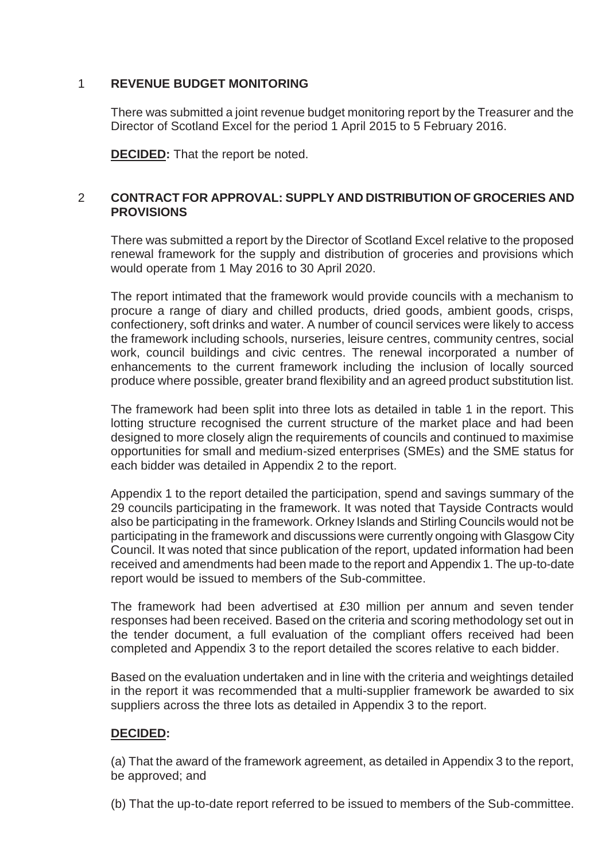## 1 **REVENUE BUDGET MONITORING**

There was submitted a joint revenue budget monitoring report by the Treasurer and the Director of Scotland Excel for the period 1 April 2015 to 5 February 2016.

**DECIDED:** That the report be noted.

## 2 **CONTRACT FOR APPROVAL: SUPPLY AND DISTRIBUTION OF GROCERIES AND PROVISIONS**

There was submitted a report by the Director of Scotland Excel relative to the proposed renewal framework for the supply and distribution of groceries and provisions which would operate from 1 May 2016 to 30 April 2020.

The report intimated that the framework would provide councils with a mechanism to procure a range of diary and chilled products, dried goods, ambient goods, crisps, confectionery, soft drinks and water. A number of council services were likely to access the framework including schools, nurseries, leisure centres, community centres, social work, council buildings and civic centres. The renewal incorporated a number of enhancements to the current framework including the inclusion of locally sourced produce where possible, greater brand flexibility and an agreed product substitution list.

The framework had been split into three lots as detailed in table 1 in the report. This lotting structure recognised the current structure of the market place and had been designed to more closely align the requirements of councils and continued to maximise opportunities for small and medium-sized enterprises (SMEs) and the SME status for each bidder was detailed in Appendix 2 to the report.

Appendix 1 to the report detailed the participation, spend and savings summary of the 29 councils participating in the framework. It was noted that Tayside Contracts would also be participating in the framework. Orkney Islands and Stirling Councils would not be participating in the framework and discussions were currently ongoing with Glasgow City Council. It was noted that since publication of the report, updated information had been received and amendments had been made to the report and Appendix 1. The up-to-date report would be issued to members of the Sub-committee.

The framework had been advertised at £30 million per annum and seven tender responses had been received. Based on the criteria and scoring methodology set out in the tender document, a full evaluation of the compliant offers received had been completed and Appendix 3 to the report detailed the scores relative to each bidder.

Based on the evaluation undertaken and in line with the criteria and weightings detailed in the report it was recommended that a multi-supplier framework be awarded to six suppliers across the three lots as detailed in Appendix 3 to the report.

## **DECIDED:**

(a) That the award of the framework agreement, as detailed in Appendix 3 to the report, be approved; and

(b) That the up-to-date report referred to be issued to members of the Sub-committee.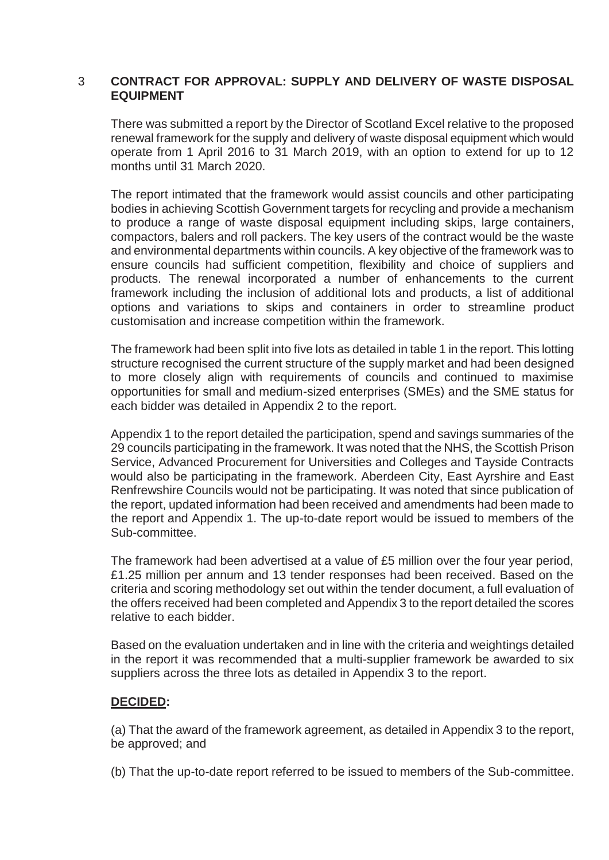#### 3 **CONTRACT FOR APPROVAL: SUPPLY AND DELIVERY OF WASTE DISPOSAL EQUIPMENT**

There was submitted a report by the Director of Scotland Excel relative to the proposed renewal framework for the supply and delivery of waste disposal equipment which would operate from 1 April 2016 to 31 March 2019, with an option to extend for up to 12 months until 31 March 2020.

The report intimated that the framework would assist councils and other participating bodies in achieving Scottish Government targets for recycling and provide a mechanism to produce a range of waste disposal equipment including skips, large containers, compactors, balers and roll packers. The key users of the contract would be the waste and environmental departments within councils. A key objective of the framework was to ensure councils had sufficient competition, flexibility and choice of suppliers and products. The renewal incorporated a number of enhancements to the current framework including the inclusion of additional lots and products, a list of additional options and variations to skips and containers in order to streamline product customisation and increase competition within the framework.

The framework had been split into five lots as detailed in table 1 in the report. This lotting structure recognised the current structure of the supply market and had been designed to more closely align with requirements of councils and continued to maximise opportunities for small and medium-sized enterprises (SMEs) and the SME status for each bidder was detailed in Appendix 2 to the report.

Appendix 1 to the report detailed the participation, spend and savings summaries of the 29 councils participating in the framework. It was noted that the NHS, the Scottish Prison Service, Advanced Procurement for Universities and Colleges and Tayside Contracts would also be participating in the framework. Aberdeen City, East Ayrshire and East Renfrewshire Councils would not be participating. It was noted that since publication of the report, updated information had been received and amendments had been made to the report and Appendix 1. The up-to-date report would be issued to members of the Sub-committee.

The framework had been advertised at a value of £5 million over the four year period, £1.25 million per annum and 13 tender responses had been received. Based on the criteria and scoring methodology set out within the tender document, a full evaluation of the offers received had been completed and Appendix 3 to the report detailed the scores relative to each bidder.

Based on the evaluation undertaken and in line with the criteria and weightings detailed in the report it was recommended that a multi-supplier framework be awarded to six suppliers across the three lots as detailed in Appendix 3 to the report.

#### **DECIDED:**

(a) That the award of the framework agreement, as detailed in Appendix 3 to the report, be approved; and

(b) That the up-to-date report referred to be issued to members of the Sub-committee.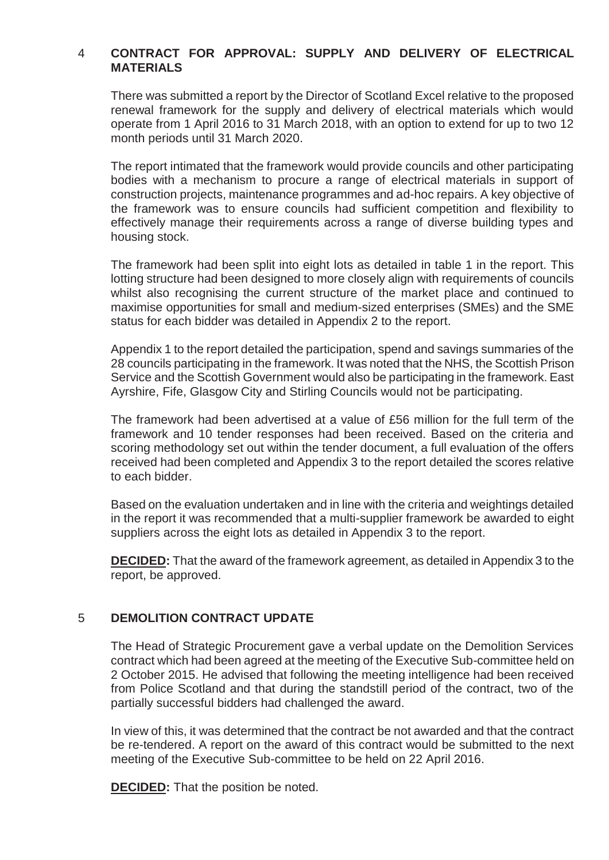## 4 **CONTRACT FOR APPROVAL: SUPPLY AND DELIVERY OF ELECTRICAL MATERIALS**

There was submitted a report by the Director of Scotland Excel relative to the proposed renewal framework for the supply and delivery of electrical materials which would operate from 1 April 2016 to 31 March 2018, with an option to extend for up to two 12 month periods until 31 March 2020.

The report intimated that the framework would provide councils and other participating bodies with a mechanism to procure a range of electrical materials in support of construction projects, maintenance programmes and ad-hoc repairs. A key objective of the framework was to ensure councils had sufficient competition and flexibility to effectively manage their requirements across a range of diverse building types and housing stock.

The framework had been split into eight lots as detailed in table 1 in the report. This lotting structure had been designed to more closely align with requirements of councils whilst also recognising the current structure of the market place and continued to maximise opportunities for small and medium-sized enterprises (SMEs) and the SME status for each bidder was detailed in Appendix 2 to the report.

Appendix 1 to the report detailed the participation, spend and savings summaries of the 28 councils participating in the framework. It was noted that the NHS, the Scottish Prison Service and the Scottish Government would also be participating in the framework. East Ayrshire, Fife, Glasgow City and Stirling Councils would not be participating.

The framework had been advertised at a value of £56 million for the full term of the framework and 10 tender responses had been received. Based on the criteria and scoring methodology set out within the tender document, a full evaluation of the offers received had been completed and Appendix 3 to the report detailed the scores relative to each bidder.

Based on the evaluation undertaken and in line with the criteria and weightings detailed in the report it was recommended that a multi-supplier framework be awarded to eight suppliers across the eight lots as detailed in Appendix 3 to the report.

**DECIDED:** That the award of the framework agreement, as detailed in Appendix 3 to the report, be approved.

#### 5 **DEMOLITION CONTRACT UPDATE**

The Head of Strategic Procurement gave a verbal update on the Demolition Services contract which had been agreed at the meeting of the Executive Sub-committee held on 2 October 2015. He advised that following the meeting intelligence had been received from Police Scotland and that during the standstill period of the contract, two of the partially successful bidders had challenged the award.

In view of this, it was determined that the contract be not awarded and that the contract be re-tendered. A report on the award of this contract would be submitted to the next meeting of the Executive Sub-committee to be held on 22 April 2016.

**DECIDED:** That the position be noted.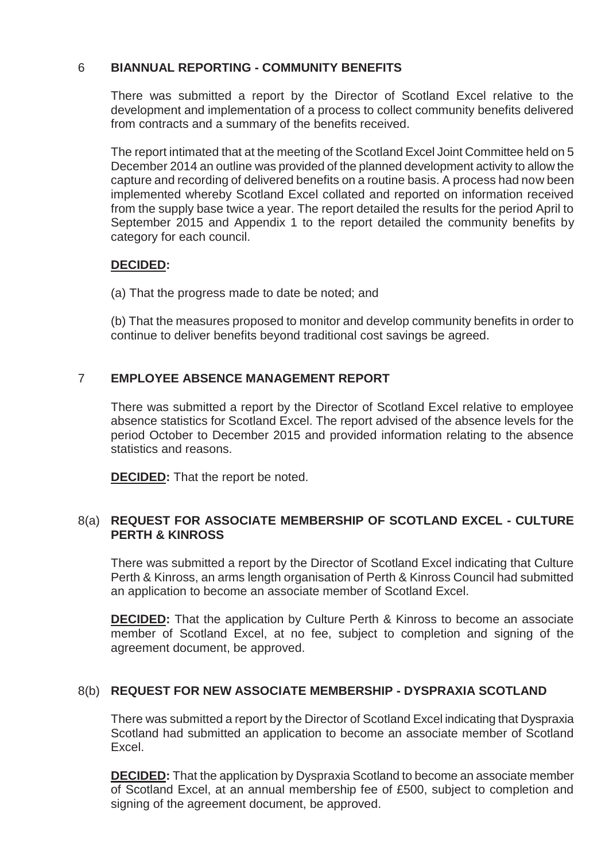## 6 **BIANNUAL REPORTING - COMMUNITY BENEFITS**

There was submitted a report by the Director of Scotland Excel relative to the development and implementation of a process to collect community benefits delivered from contracts and a summary of the benefits received.

The report intimated that at the meeting of the Scotland Excel Joint Committee held on 5 December 2014 an outline was provided of the planned development activity to allow the capture and recording of delivered benefits on a routine basis. A process had now been implemented whereby Scotland Excel collated and reported on information received from the supply base twice a year. The report detailed the results for the period April to September 2015 and Appendix 1 to the report detailed the community benefits by category for each council.

## **DECIDED:**

(a) That the progress made to date be noted; and

(b) That the measures proposed to monitor and develop community benefits in order to continue to deliver benefits beyond traditional cost savings be agreed.

## 7 **EMPLOYEE ABSENCE MANAGEMENT REPORT**

There was submitted a report by the Director of Scotland Excel relative to employee absence statistics for Scotland Excel. The report advised of the absence levels for the period October to December 2015 and provided information relating to the absence statistics and reasons.

**DECIDED:** That the report be noted.

## 8(a) **REQUEST FOR ASSOCIATE MEMBERSHIP OF SCOTLAND EXCEL - CULTURE PERTH & KINROSS**

There was submitted a report by the Director of Scotland Excel indicating that Culture Perth & Kinross, an arms length organisation of Perth & Kinross Council had submitted an application to become an associate member of Scotland Excel.

**DECIDED:** That the application by Culture Perth & Kinross to become an associate member of Scotland Excel, at no fee, subject to completion and signing of the agreement document, be approved.

## 8(b) **REQUEST FOR NEW ASSOCIATE MEMBERSHIP - DYSPRAXIA SCOTLAND**

There was submitted a report by the Director of Scotland Excel indicating that Dyspraxia Scotland had submitted an application to become an associate member of Scotland Excel.

**DECIDED:** That the application by Dyspraxia Scotland to become an associate member of Scotland Excel, at an annual membership fee of £500, subject to completion and signing of the agreement document, be approved.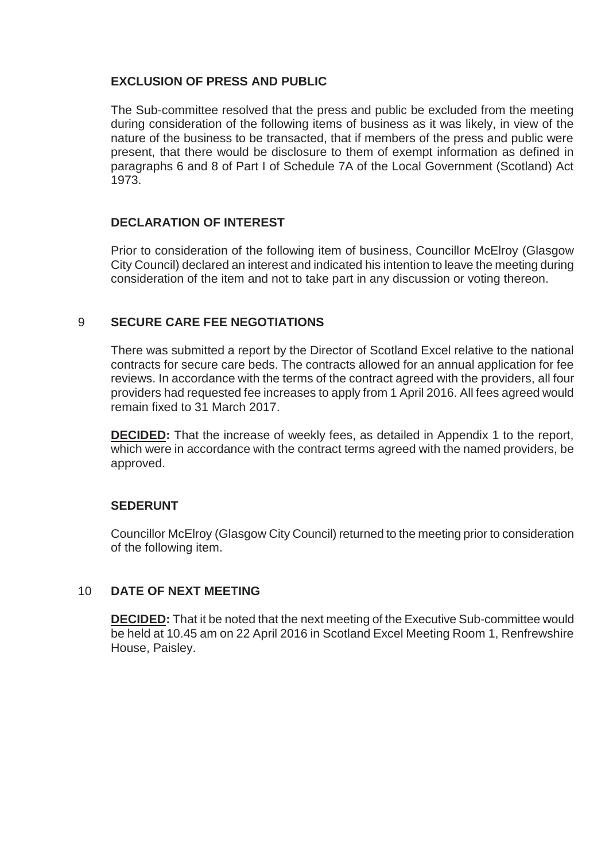## **EXCLUSION OF PRESS AND PUBLIC**

The Sub-committee resolved that the press and public be excluded from the meeting during consideration of the following items of business as it was likely, in view of the nature of the business to be transacted, that if members of the press and public were present, that there would be disclosure to them of exempt information as defined in paragraphs 6 and 8 of Part I of Schedule 7A of the Local Government (Scotland) Act 1973.

## **DECLARATION OF INTEREST**

Prior to consideration of the following item of business, Councillor McElroy (Glasgow City Council) declared an interest and indicated his intention to leave the meeting during consideration of the item and not to take part in any discussion or voting thereon.

#### 9 **SECURE CARE FEE NEGOTIATIONS**

There was submitted a report by the Director of Scotland Excel relative to the national contracts for secure care beds. The contracts allowed for an annual application for fee reviews. In accordance with the terms of the contract agreed with the providers, all four providers had requested fee increases to apply from 1 April 2016. All fees agreed would remain fixed to 31 March 2017.

**DECIDED:** That the increase of weekly fees, as detailed in Appendix 1 to the report, which were in accordance with the contract terms agreed with the named providers, be approved.

#### **SEDERUNT**

Councillor McElroy (Glasgow City Council) returned to the meeting prior to consideration of the following item.

#### 10 **DATE OF NEXT MEETING**

**DECIDED:** That it be noted that the next meeting of the Executive Sub-committee would be held at 10.45 am on 22 April 2016 in Scotland Excel Meeting Room 1, Renfrewshire House, Paisley.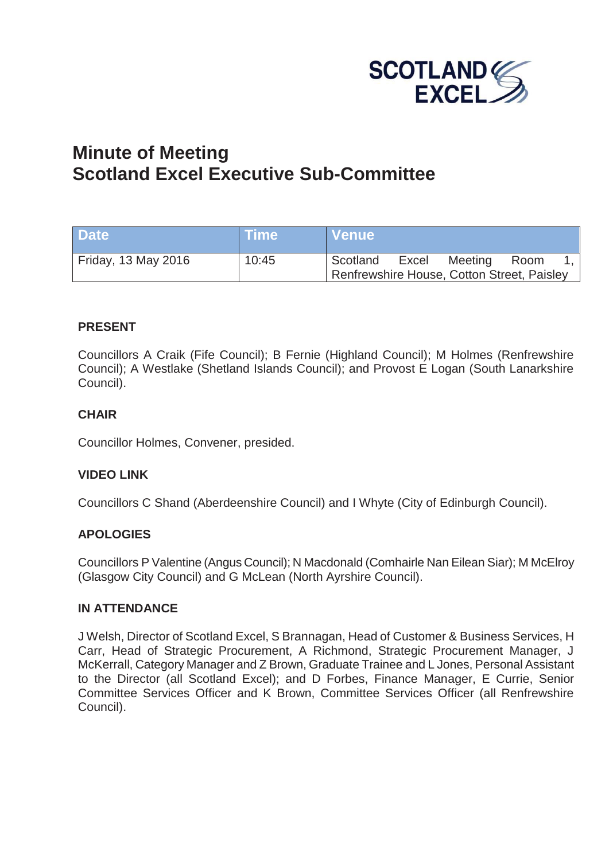

## **Minute of Meeting Scotland Excel Executive Sub-Committee**

| <b>Date</b>         | <b>NTime</b> | NVenue\                                    |       |         |      |  |
|---------------------|--------------|--------------------------------------------|-------|---------|------|--|
| Friday, 13 May 2016 | 10:45        | Scotland                                   | Excel | Meeting | Room |  |
|                     |              | Renfrewshire House, Cotton Street, Paisley |       |         |      |  |

## **PRESENT**

Councillors A Craik (Fife Council); B Fernie (Highland Council); M Holmes (Renfrewshire Council); A Westlake (Shetland Islands Council); and Provost E Logan (South Lanarkshire Council).

#### **CHAIR**

Councillor Holmes, Convener, presided.

#### **VIDEO LINK**

Councillors C Shand (Aberdeenshire Council) and I Whyte (City of Edinburgh Council).

#### **APOLOGIES**

Councillors P Valentine (Angus Council); N Macdonald (Comhairle Nan Eilean Siar); M McElroy (Glasgow City Council) and G McLean (North Ayrshire Council).

#### **IN ATTENDANCE**

J Welsh, Director of Scotland Excel, S Brannagan, Head of Customer & Business Services, H Carr, Head of Strategic Procurement, A Richmond, Strategic Procurement Manager, J McKerrall, Category Manager and Z Brown, Graduate Trainee and L Jones, Personal Assistant to the Director (all Scotland Excel); and D Forbes, Finance Manager, E Currie, Senior Committee Services Officer and K Brown, Committee Services Officer (all Renfrewshire Council).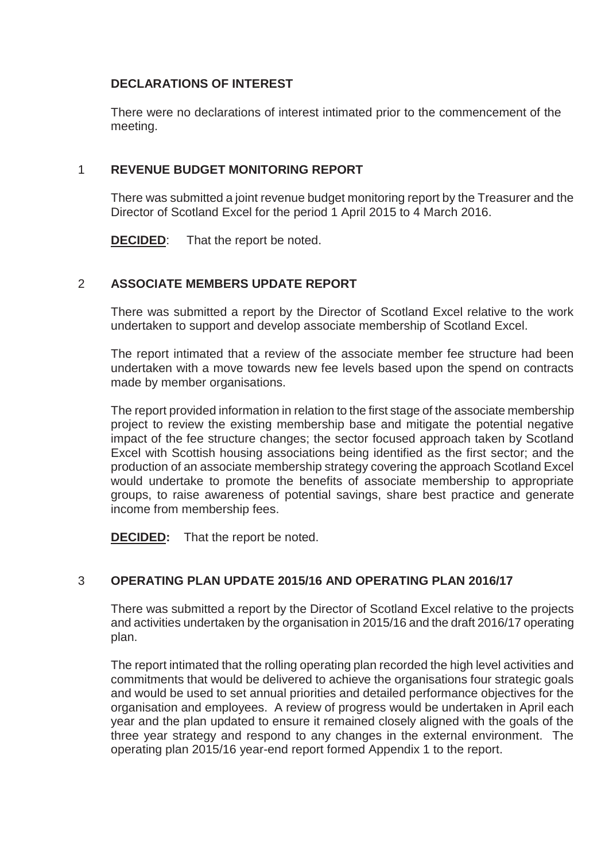## **DECLARATIONS OF INTEREST**

There were no declarations of interest intimated prior to the commencement of the meeting.

## 1 **REVENUE BUDGET MONITORING REPORT**

There was submitted a joint revenue budget monitoring report by the Treasurer and the Director of Scotland Excel for the period 1 April 2015 to 4 March 2016.

**DECIDED:** That the report be noted.

#### 2 **ASSOCIATE MEMBERS UPDATE REPORT**

There was submitted a report by the Director of Scotland Excel relative to the work undertaken to support and develop associate membership of Scotland Excel.

The report intimated that a review of the associate member fee structure had been undertaken with a move towards new fee levels based upon the spend on contracts made by member organisations.

The report provided information in relation to the first stage of the associate membership project to review the existing membership base and mitigate the potential negative impact of the fee structure changes; the sector focused approach taken by Scotland Excel with Scottish housing associations being identified as the first sector; and the production of an associate membership strategy covering the approach Scotland Excel would undertake to promote the benefits of associate membership to appropriate groups, to raise awareness of potential savings, share best practice and generate income from membership fees.

**DECIDED:** That the report be noted.

## 3 **OPERATING PLAN UPDATE 2015/16 AND OPERATING PLAN 2016/17**

There was submitted a report by the Director of Scotland Excel relative to the projects and activities undertaken by the organisation in 2015/16 and the draft 2016/17 operating plan.

The report intimated that the rolling operating plan recorded the high level activities and commitments that would be delivered to achieve the organisations four strategic goals and would be used to set annual priorities and detailed performance objectives for the organisation and employees. A review of progress would be undertaken in April each year and the plan updated to ensure it remained closely aligned with the goals of the three year strategy and respond to any changes in the external environment. The operating plan 2015/16 year-end report formed Appendix 1 to the report.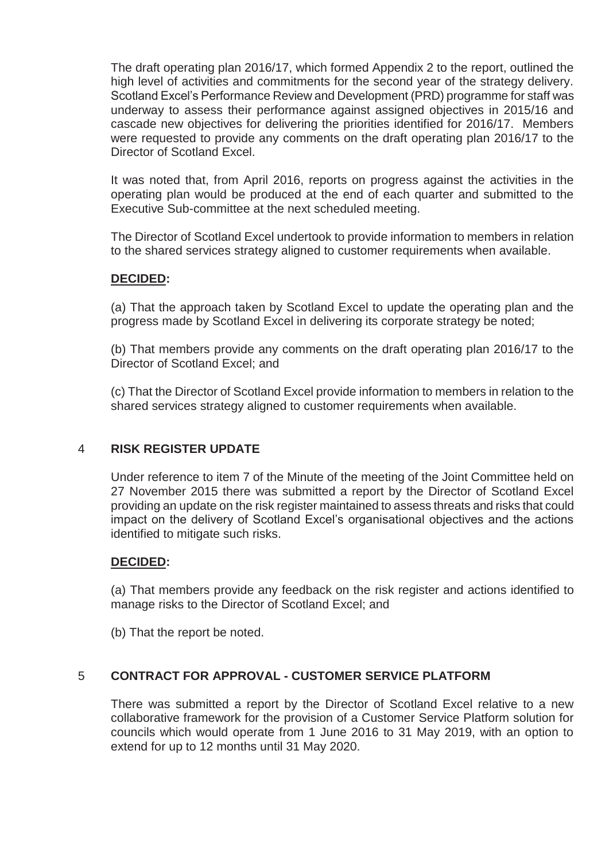The draft operating plan 2016/17, which formed Appendix 2 to the report, outlined the high level of activities and commitments for the second year of the strategy delivery. Scotland Excel's Performance Review and Development (PRD) programme for staff was underway to assess their performance against assigned objectives in 2015/16 and cascade new objectives for delivering the priorities identified for 2016/17. Members were requested to provide any comments on the draft operating plan 2016/17 to the Director of Scotland Excel.

It was noted that, from April 2016, reports on progress against the activities in the operating plan would be produced at the end of each quarter and submitted to the Executive Sub-committee at the next scheduled meeting.

The Director of Scotland Excel undertook to provide information to members in relation to the shared services strategy aligned to customer requirements when available.

## **DECIDED:**

(a) That the approach taken by Scotland Excel to update the operating plan and the progress made by Scotland Excel in delivering its corporate strategy be noted;

(b) That members provide any comments on the draft operating plan 2016/17 to the Director of Scotland Excel; and

(c) That the Director of Scotland Excel provide information to members in relation to the shared services strategy aligned to customer requirements when available.

#### 4 **RISK REGISTER UPDATE**

Under reference to item 7 of the Minute of the meeting of the Joint Committee held on 27 November 2015 there was submitted a report by the Director of Scotland Excel providing an update on the risk register maintained to assess threats and risks that could impact on the delivery of Scotland Excel's organisational objectives and the actions identified to mitigate such risks.

#### **DECIDED:**

(a) That members provide any feedback on the risk register and actions identified to manage risks to the Director of Scotland Excel; and

(b) That the report be noted.

#### 5 **CONTRACT FOR APPROVAL - CUSTOMER SERVICE PLATFORM**

There was submitted a report by the Director of Scotland Excel relative to a new collaborative framework for the provision of a Customer Service Platform solution for councils which would operate from 1 June 2016 to 31 May 2019, with an option to extend for up to 12 months until 31 May 2020.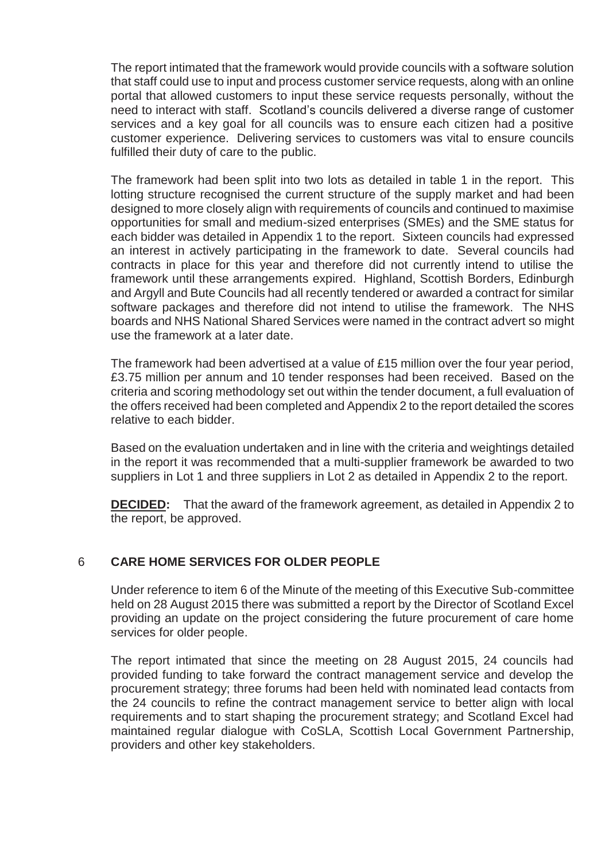The report intimated that the framework would provide councils with a software solution that staff could use to input and process customer service requests, along with an online portal that allowed customers to input these service requests personally, without the need to interact with staff. Scotland's councils delivered a diverse range of customer services and a key goal for all councils was to ensure each citizen had a positive customer experience. Delivering services to customers was vital to ensure councils fulfilled their duty of care to the public.

The framework had been split into two lots as detailed in table 1 in the report. This lotting structure recognised the current structure of the supply market and had been designed to more closely align with requirements of councils and continued to maximise opportunities for small and medium-sized enterprises (SMEs) and the SME status for each bidder was detailed in Appendix 1 to the report. Sixteen councils had expressed an interest in actively participating in the framework to date. Several councils had contracts in place for this year and therefore did not currently intend to utilise the framework until these arrangements expired. Highland, Scottish Borders, Edinburgh and Argyll and Bute Councils had all recently tendered or awarded a contract for similar software packages and therefore did not intend to utilise the framework. The NHS boards and NHS National Shared Services were named in the contract advert so might use the framework at a later date.

The framework had been advertised at a value of £15 million over the four year period, £3.75 million per annum and 10 tender responses had been received. Based on the criteria and scoring methodology set out within the tender document, a full evaluation of the offers received had been completed and Appendix 2 to the report detailed the scores relative to each bidder.

Based on the evaluation undertaken and in line with the criteria and weightings detailed in the report it was recommended that a multi-supplier framework be awarded to two suppliers in Lot 1 and three suppliers in Lot 2 as detailed in Appendix 2 to the report.

**DECIDED:** That the award of the framework agreement, as detailed in Appendix 2 to the report, be approved.

## 6 **CARE HOME SERVICES FOR OLDER PEOPLE**

Under reference to item 6 of the Minute of the meeting of this Executive Sub-committee held on 28 August 2015 there was submitted a report by the Director of Scotland Excel providing an update on the project considering the future procurement of care home services for older people.

The report intimated that since the meeting on 28 August 2015, 24 councils had provided funding to take forward the contract management service and develop the procurement strategy; three forums had been held with nominated lead contacts from the 24 councils to refine the contract management service to better align with local requirements and to start shaping the procurement strategy; and Scotland Excel had maintained regular dialogue with CoSLA, Scottish Local Government Partnership, providers and other key stakeholders.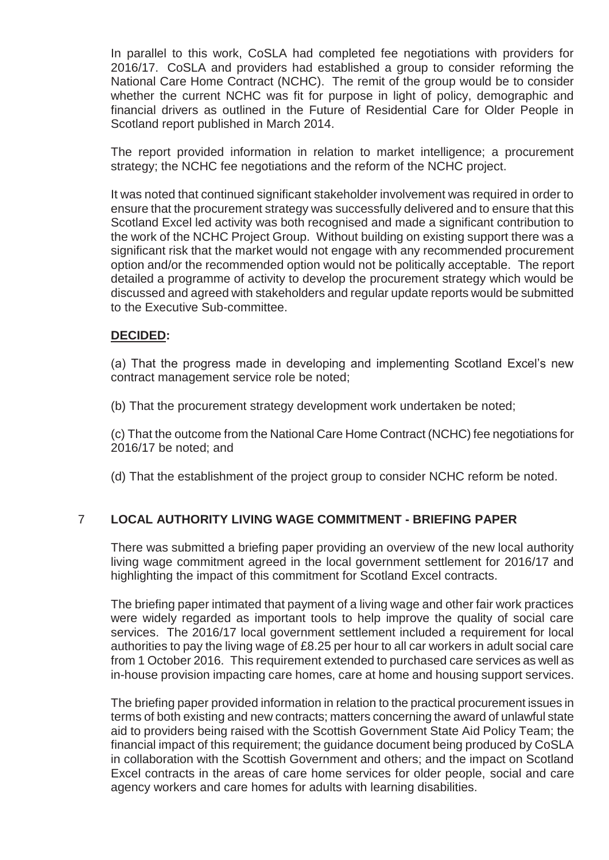In parallel to this work, CoSLA had completed fee negotiations with providers for 2016/17. CoSLA and providers had established a group to consider reforming the National Care Home Contract (NCHC). The remit of the group would be to consider whether the current NCHC was fit for purpose in light of policy, demographic and financial drivers as outlined in the Future of Residential Care for Older People in Scotland report published in March 2014.

The report provided information in relation to market intelligence; a procurement strategy; the NCHC fee negotiations and the reform of the NCHC project.

It was noted that continued significant stakeholder involvement was required in order to ensure that the procurement strategy was successfully delivered and to ensure that this Scotland Excel led activity was both recognised and made a significant contribution to the work of the NCHC Project Group. Without building on existing support there was a significant risk that the market would not engage with any recommended procurement option and/or the recommended option would not be politically acceptable. The report detailed a programme of activity to develop the procurement strategy which would be discussed and agreed with stakeholders and regular update reports would be submitted to the Executive Sub-committee.

## **DECIDED:**

(a) That the progress made in developing and implementing Scotland Excel's new contract management service role be noted;

(b) That the procurement strategy development work undertaken be noted;

(c) That the outcome from the National Care Home Contract (NCHC) fee negotiations for 2016/17 be noted; and

(d) That the establishment of the project group to consider NCHC reform be noted.

## 7 **LOCAL AUTHORITY LIVING WAGE COMMITMENT - BRIEFING PAPER**

There was submitted a briefing paper providing an overview of the new local authority living wage commitment agreed in the local government settlement for 2016/17 and highlighting the impact of this commitment for Scotland Excel contracts.

The briefing paper intimated that payment of a living wage and other fair work practices were widely regarded as important tools to help improve the quality of social care services. The 2016/17 local government settlement included a requirement for local authorities to pay the living wage of £8.25 per hour to all car workers in adult social care from 1 October 2016. This requirement extended to purchased care services as well as in-house provision impacting care homes, care at home and housing support services.

The briefing paper provided information in relation to the practical procurement issues in terms of both existing and new contracts; matters concerning the award of unlawful state aid to providers being raised with the Scottish Government State Aid Policy Team; the financial impact of this requirement; the guidance document being produced by CoSLA in collaboration with the Scottish Government and others; and the impact on Scotland Excel contracts in the areas of care home services for older people, social and care agency workers and care homes for adults with learning disabilities.